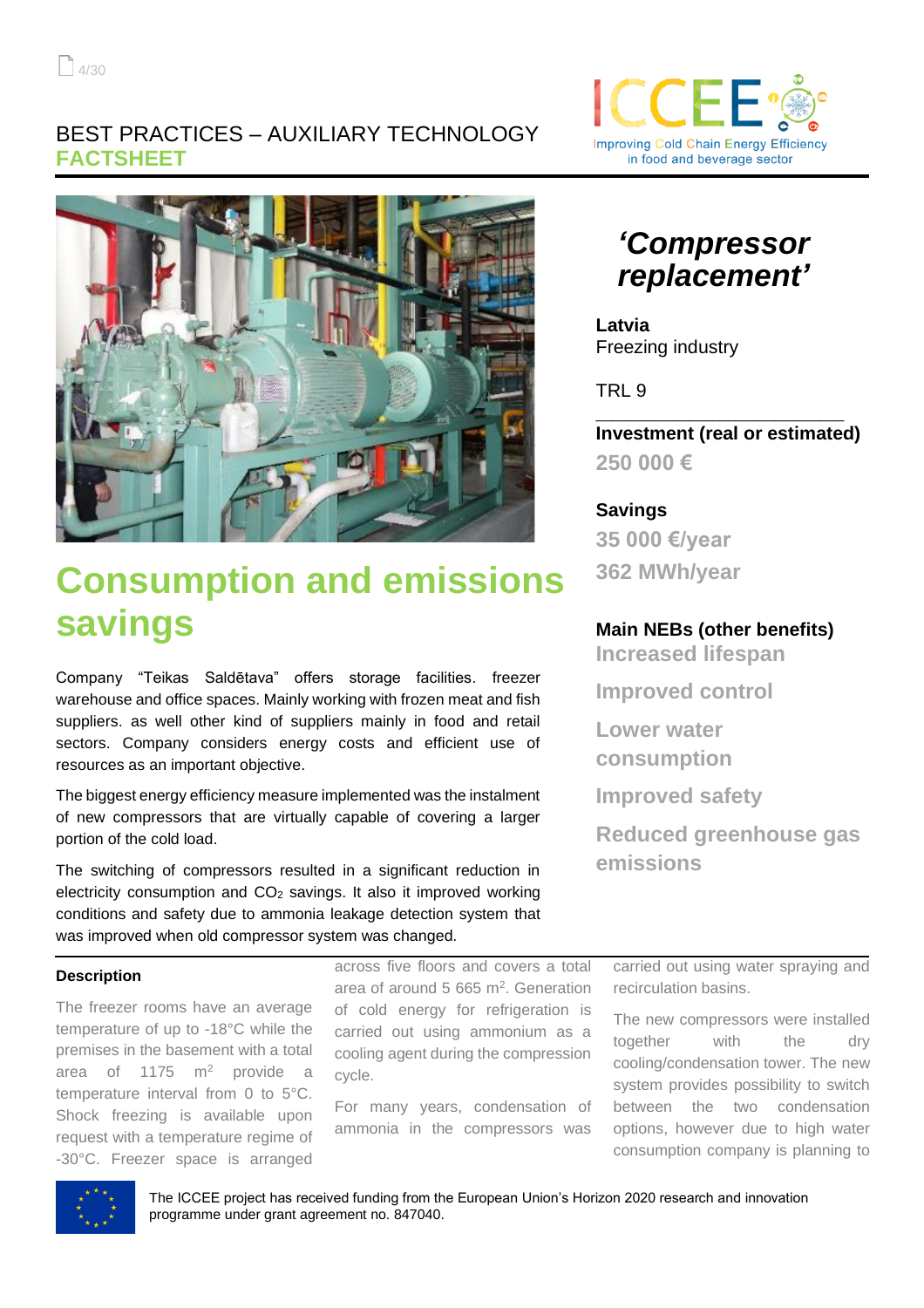## BEST PRACTICES – AUXILIARY TECHNOLOGY **FACTSHEET**



# **Consumption and emissions savings**

Company "Teikas Saldētava" offers storage facilities. freezer warehouse and office spaces. Mainly working with frozen meat and fish suppliers. as well other kind of suppliers mainly in food and retail sectors. Company considers energy costs and efficient use of resources as an important objective.

The biggest energy efficiency measure implemented was the instalment of new compressors that are virtually capable of covering a larger portion of the cold load.

The switching of compressors resulted in a significant reduction in electricity consumption and  $CO<sub>2</sub>$  savings. It also it improved working conditions and safety due to ammonia leakage detection system that was improved when old compressor system was changed.

#### **Description**

The freezer rooms have an average temperature of up to -18°C while the premises in the basement with a total area of 1175  $m^2$  provide a temperature interval from 0 to 5°C. Shock freezing is available upon request with a temperature regime of -30°C. Freezer space is arranged

across five floors and covers a total area of around 5 665  $m<sup>2</sup>$ . Generation of cold energy for refrigeration is carried out using ammonium as a cooling agent during the compression cycle.

For many years, condensation of ammonia in the compressors was



## *'Compressor replacement'*

**Latvia** Freezing industry

TRL 9

**Investment (real or estimated) 250 000 €**

\_\_\_\_\_\_\_\_\_\_\_\_\_\_\_\_\_\_\_\_\_\_\_\_\_\_\_\_\_\_\_\_

### **Savings**

**35 000 €/year 362 MWh/year**

#### **Main NEBs (other benefits)**

**Increased lifespan**

**Improved control**

**Lower water consumption**

**Improved safety** 

**Reduced greenhouse gas emissions**

carried out using water spraying and recirculation basins.

The new compressors were installed together with the dry cooling/condensation tower. The new system provides possibility to switch between the two condensation options, however due to high water consumption company is planning to



The ICCEE project has received funding from the European Union's Horizon 2020 research and innovation programme under grant agreement no. 847040.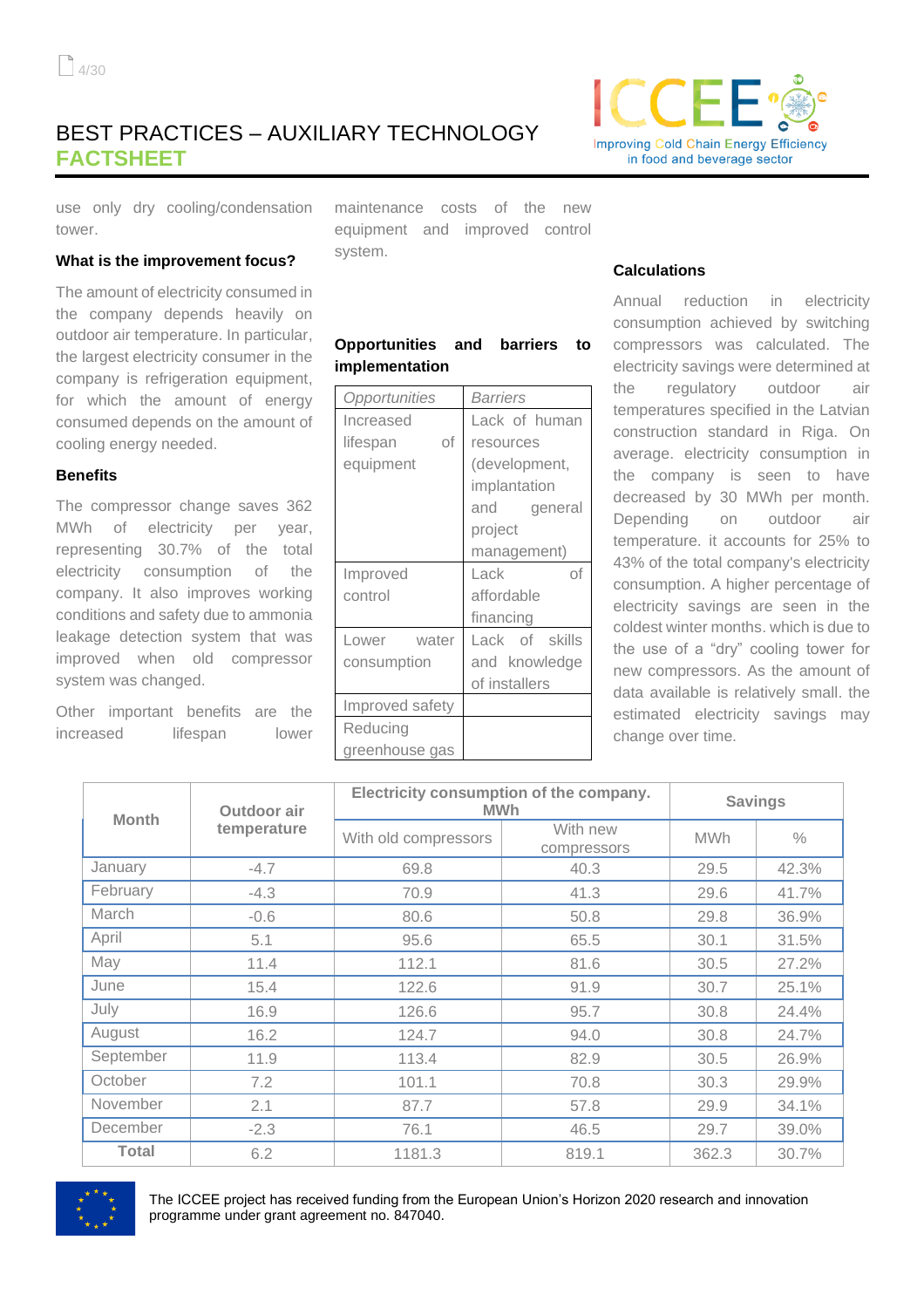## BEST PRACTICES – AUXILIARY TECHNOLOGY **FACTSHEET**



use only dry cooling/condensation tower.

#### **What is the improvement focus?**

The amount of electricity consumed in the company depends heavily on outdoor air temperature. In particular, the largest electricity consumer in the company is refrigeration equipment, for which the amount of energy consumed depends on the amount of cooling energy needed.

#### **Benefits**

The compressor change saves 362 MWh of electricity per year, representing 30.7% of the total electricity consumption of the company. It also improves working conditions and safety due to ammonia leakage detection system that was improved when old compressor system was changed.

Other important benefits are the increased lifespan lower maintenance costs of the new equipment and improved control system.

#### **Opportunities and barriers to implementation**

| Opportunities   | Barriers       |  |
|-----------------|----------------|--|
| Increased       | Lack of human  |  |
| оf<br>lifespan  | resources      |  |
| equipment       | (development,  |  |
|                 | implantation   |  |
|                 | and general    |  |
|                 | project        |  |
|                 | management)    |  |
| Improved        | Lack<br>of     |  |
| control         | affordable     |  |
|                 | financing      |  |
| Lower water     | Lack of skills |  |
| consumption     | and knowledge  |  |
|                 | of installers  |  |
| Improved safety |                |  |
| Reducing        |                |  |
| greenhouse gas  |                |  |

#### **Calculations**

Annual reduction in electricity consumption achieved by switching compressors was calculated. The electricity savings were determined at the regulatory outdoor air temperatures specified in the Latvian construction standard in Riga. On average. electricity consumption in the company is seen to have decreased by 30 MWh per month. Depending on outdoor air temperature. it accounts for 25% to 43% of the total company's electricity consumption. A higher percentage of electricity savings are seen in the coldest winter months. which is due to the use of a "dry" cooling tower for new compressors. As the amount of data available is relatively small. the estimated electricity savings may change over time.

| <b>Month</b> | Outdoor air<br>temperature | Electricity consumption of the company.<br><b>MWh</b> |                         | <b>Savings</b> |               |
|--------------|----------------------------|-------------------------------------------------------|-------------------------|----------------|---------------|
|              |                            | With old compressors                                  | With new<br>compressors | <b>MWh</b>     | $\frac{0}{0}$ |
| January      | $-4.7$                     | 69.8                                                  | 40.3                    | 29.5           | 42.3%         |
| February     | $-4.3$                     | 70.9                                                  | 41.3                    | 29.6           | 41.7%         |
| March        | $-0.6$                     | 80.6                                                  | 50.8                    | 29.8           | 36.9%         |
| April        | 5.1                        | 95.6                                                  | 65.5                    | 30.1           | 31.5%         |
| May          | 11.4                       | 112.1                                                 | 81.6                    | 30.5           | 27.2%         |
| June         | 15.4                       | 122.6                                                 | 91.9                    | 30.7           | 25.1%         |
| July         | 16.9                       | 126.6                                                 | 95.7                    | 30.8           | 24.4%         |
| August       | 16.2                       | 124.7                                                 | 94.0                    | 30.8           | 24.7%         |
| September    | 11.9                       | 113.4                                                 | 82.9                    | 30.5           | 26.9%         |
| October      | 7.2                        | 101.1                                                 | 70.8                    | 30.3           | 29.9%         |
| November     | 2.1                        | 87.7                                                  | 57.8                    | 29.9           | 34.1%         |
| December     | $-2.3$                     | 76.1                                                  | 46.5                    | 29.7           | 39.0%         |
| <b>Total</b> | 6.2                        | 1181.3                                                | 819.1                   | 362.3          | 30.7%         |



The ICCEE project has received funding from the European Union's Horizon 2020 research and innovation programme under grant agreement no. 847040.